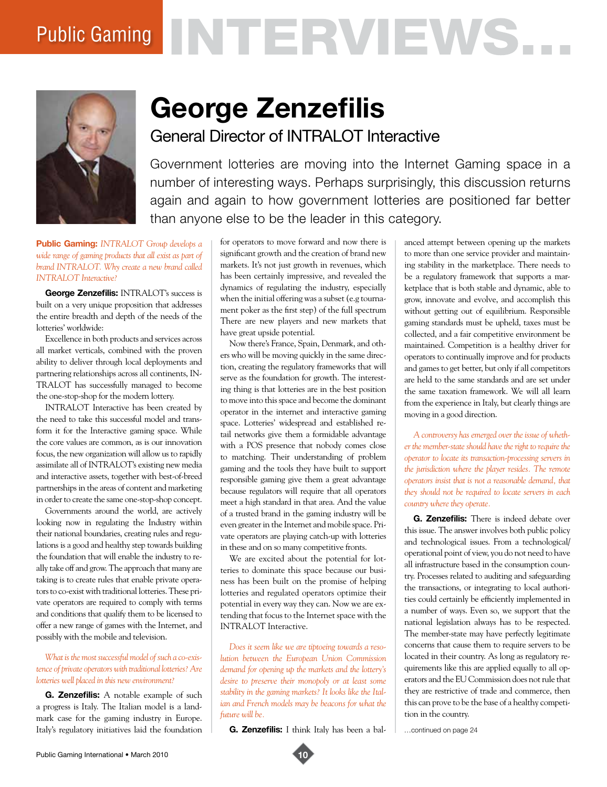# Public Gaming NTERVEWS.



# **George Zenzefilis** General Director of INTRALOT Interactive

Government lotteries are moving into the Internet Gaming space in a number of interesting ways. Perhaps surprisingly, this discussion returns again and again to how government lotteries are positioned far better than anyone else to be the leader in this category.

**Public Gaming:** *INTRALOT Group develops a wide range of gaming products that all exist as part of brand INTRALOT. Why create a new brand called INTRALOT Interactive?* 

**George Zenzefilis:** INTRALOT's success is built on a very unique proposition that addresses the entire breadth and depth of the needs of the lotteries' worldwide:

Excellence in both products and services across all market verticals, combined with the proven ability to deliver through local deployments and partnering relationships across all continents, IN-TRALOT has successfully managed to become the one-stop-shop for the modern lottery.

INTRALOT Interactive has been created by the need to take this successful model and transform it for the Interactive gaming space. While the core values are common, as is our innovation focus, the new organization will allow us to rapidly assimilate all of INTRALOT's existing new media and interactive assets, together with best-of-breed partnerships in the areas of content and marketing in order to create the same one-stop-shop concept.

Governments around the world, are actively looking now in regulating the Industry within their national boundaries, creating rules and regulations is a good and healthy step towards building the foundation that will enable the industry to really take off and grow. The approach that many are taking is to create rules that enable private operators to co-exist with traditional lotteries. These private operators are required to comply with terms and conditions that qualify them to be licensed to offer a new range of games with the Internet, and possibly with the mobile and television.

### *What is the most successful model of such a co-existence of private operators with traditional lotteries? Are lotteries well placed in this new environment?*

**G. Zenzefilis:** A notable example of such a progress is Italy. The Italian model is a landmark case for the gaming industry in Europe. Italy's regulatory initiatives laid the foundation

for operators to move forward and now there is significant growth and the creation of brand new markets. It's not just growth in revenues, which has been certainly impressive, and revealed the dynamics of regulating the industry, especially when the initial offering was a subset (e.g tournament poker as the first step) of the full spectrum There are new players and new markets that have great upside potential.

Now there's France, Spain, Denmark, and others who will be moving quickly in the same direction, creating the regulatory frameworks that will serve as the foundation for growth. The interesting thing is that lotteries are in the best position to move into this space and become the dominant operator in the internet and interactive gaming space. Lotteries' widespread and established retail networks give them a formidable advantage with a POS presence that nobody comes close to matching. Their understanding of problem gaming and the tools they have built to support responsible gaming give them a great advantage because regulators will require that all operators meet a high standard in that area. And the value of a trusted brand in the gaming industry will be even greater in the Internet and mobile space. Private operators are playing catch-up with lotteries in these and on so many competitive fronts.

We are excited about the potential for lotteries to dominate this space because our business has been built on the promise of helping lotteries and regulated operators optimize their potential in every way they can. Now we are extending that focus to the Internet space with the INTRALOT Interactive.

*Does it seem like we are tiptoeing towards a resolution between the European Union Commission demand for opening up the markets and the lottery's desire to preserve their monopoly or at least some stability in the gaming markets? It looks like the Italian and French models may be beacons for what the future will be.* 

**G. Zenzefilis:** I think Italy has been a bal-

anced attempt between opening up the markets to more than one service provider and maintaining stability in the marketplace. There needs to be a regulatory framework that supports a marketplace that is both stable and dynamic, able to grow, innovate and evolve, and accomplish this without getting out of equilibrium. Responsible gaming standards must be upheld, taxes must be collected, and a fair competitive environment be maintained. Competition is a healthy driver for operators to continually improve and for products and games to get better, but only if all competitors are held to the same standards and are set under the same taxation framework. We will all learn from the experience in Italy, but clearly things are moving in a good direction.

*A controversy has emerged over the issue of whether the member-state should have the right to require the operator to locate its transaction-processing servers in the jurisdiction where the player resides. The remote operators insist that is not a reasonable demand, that they should not be required to locate servers in each country where they operate.* 

**G. Zenzefilis:** There is indeed debate over this issue. The answer involves both public policy and technological issues. From a technological/ operational point of view, you do not need to have all infrastructure based in the consumption country. Processes related to auditing and safeguarding the transactions, or integrating to local authorities could certainly be efficiently implemented in a number of ways. Even so, we support that the national legislation always has to be respected. The member-state may have perfectly legitimate concerns that cause them to require servers to be located in their country. As long as regulatory requirements like this are applied equally to all operators and the EU Commission does not rule that they are restrictive of trade and commerce, then this can prove to be the base of a healthy competition in the country.

…continued on page 24

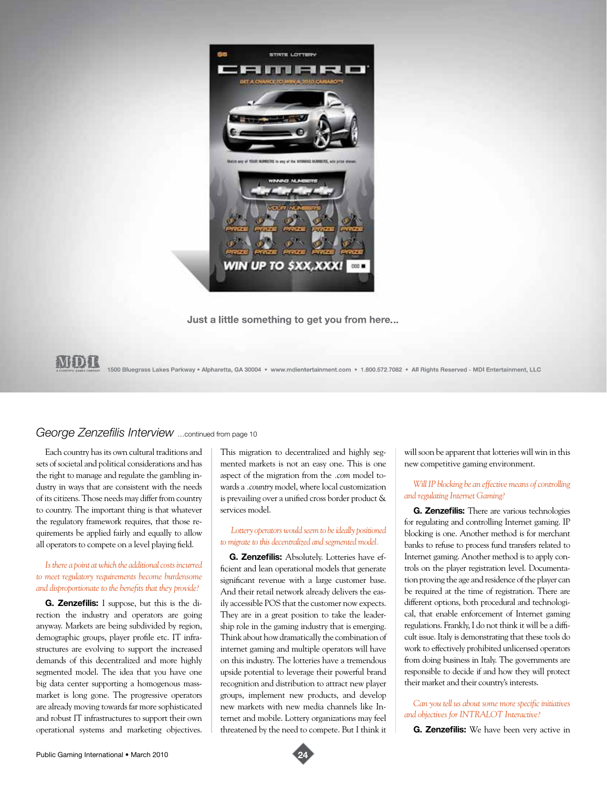

Just a little something to get you from here...

# MIDII

1500 Bluegrass Lakes Parkway • Alpharetta, GA 30004 • www.mdientertainment.com • 1.800.572.7082 • All Rights Reserved - MDI Entertainment, LLC

# *George Zenzefilis Interview* …continued from page 10

Each country has its own cultural traditions and sets of societal and political considerations and has the right to manage and regulate the gambling industry in ways that are consistent with the needs of its citizens. Those needs may differ from country to country. The important thing is that whatever the regulatory framework requires, that those requirements be applied fairly and equally to allow all operators to compete on a level playing field.

# *Is there a point at which the additional costs incurred to meet regulatory requirements become burdensome and disproportionate to the benefits that they provide?*

**G. Zenzefilis:** I suppose, but this is the direction the industry and operators are going anyway. Markets are being subdivided by region, demographic groups, player profile etc. IT infrastructures are evolving to support the increased demands of this decentralized and more highly segmented model. The idea that you have one big data center supporting a homogenous massmarket is long gone. The progressive operators are already moving towards far more sophisticated and robust IT infrastructures to support their own operational systems and marketing objectives.

This migration to decentralized and highly segmented markets is not an easy one. This is one aspect of the migration from the *.com* model towards a *.country* model, where local customization is prevailing over a unified cross border product & services model.

 *Lottery operators would seem to be ideally positioned to migrate to this decentralized and segmented model.* 

**G. Zenzefilis:** Absolutely. Lotteries have efficient and lean operational models that generate significant revenue with a large customer base. And their retail network already delivers the easily accessible POS that the customer now expects. They are in a great position to take the leadership role in the gaming industry that is emerging. Think about how dramatically the combination of internet gaming and multiple operators will have on this industry. The lotteries have a tremendous upside potential to leverage their powerful brand recognition and distribution to attract new player groups, implement new products, and develop new markets with new media channels like Internet and mobile. Lottery organizations may feel threatened by the need to compete. But I think it

will soon be apparent that lotteries will win in this new competitive gaming environment.

# *Will IP blocking be an effective means of controlling and regulating Internet Gaming?*

**G. Zenzefilis:** There are various technologies for regulating and controlling Internet gaming. IP blocking is one. Another method is for merchant banks to refuse to process fund transfers related to Internet gaming. Another method is to apply controls on the player registration level. Documentation proving the age and residence of the player can be required at the time of registration. There are different options, both procedural and technological, that enable enforcement of Internet gaming regulations. Frankly, I do not think it will be a difficult issue. Italy is demonstrating that these tools do work to effectively prohibited unlicensed operators from doing business in Italy. The governments are responsible to decide if and how they will protect their market and their country's interests.

## *Can you tell us about some more specific initiatives and objectives for INTRALOT Interactive?*

**G. Zenzefilis:** We have been very active in